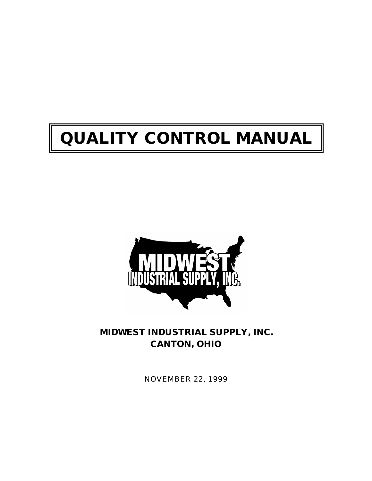# **QUALITY CONTROL MANUAL**



**MIDWEST INDUSTRIAL SUPPLY, INC. CANTON, OHIO**

NOVEMBER 22, 1999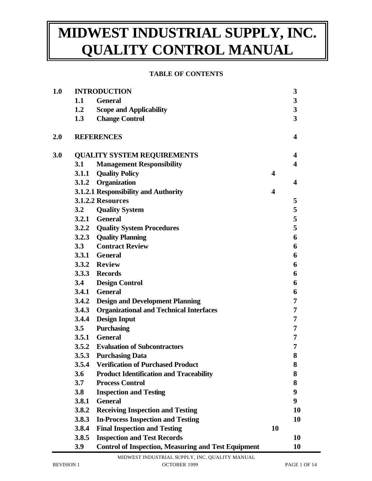#### **TABLE OF CONTENTS**

| 1.0     | <b>INTRODUCTION</b>                |                                                            |    | 3                       |
|---------|------------------------------------|------------------------------------------------------------|----|-------------------------|
|         | 1.1                                | <b>General</b>                                             |    | $\mathbf{3}$            |
|         | 1.2                                | <b>Scope and Applicability</b>                             |    | $\mathbf{3}$            |
|         | 1.3                                | <b>Change Control</b>                                      |    | $\overline{\mathbf{3}}$ |
| $2.0\,$ |                                    | <b>REFERENCES</b>                                          |    | $\overline{\mathbf{4}}$ |
| 3.0     | <b>QUALITY SYSTEM REQUIREMENTS</b> |                                                            |    | $\overline{\mathbf{4}}$ |
|         | 3.1                                | <b>Management Responsibility</b>                           |    | 4                       |
|         | 3.1.1                              | <b>Quality Policy</b>                                      | 4  |                         |
|         |                                    | 3.1.2 Organization                                         |    | 4                       |
|         |                                    | 3.1.2.1 Responsibility and Authority                       | 4  |                         |
|         |                                    | 3.1.2.2 Resources                                          |    | 5                       |
|         | 3.2                                | <b>Quality System</b>                                      |    | 5                       |
|         |                                    | 3.2.1 General                                              |    | 5                       |
|         |                                    | 3.2.2 Quality System Procedures                            |    | 5                       |
|         |                                    | 3.2.3 Quality Planning                                     |    | 6                       |
|         | 3.3                                | <b>Contract Review</b>                                     |    | 6                       |
|         |                                    | 3.3.1 General                                              |    | 6                       |
|         |                                    | 3.3.2 Review                                               |    | 6                       |
|         |                                    | 3.3.3 Records                                              |    | 6                       |
|         | 3.4                                | <b>Design Control</b>                                      |    | 6                       |
|         |                                    | 3.4.1 General                                              |    | 6                       |
|         |                                    | 3.4.2 Design and Development Planning                      |    | 7                       |
|         |                                    | 3.4.3 Organizational and Technical Interfaces              |    | 7                       |
|         | 3.4.4                              | <b>Design Input</b>                                        |    | $\overline{7}$          |
|         | 3.5                                | <b>Purchasing</b>                                          |    | 7                       |
|         |                                    | 3.5.1 General                                              |    | 7                       |
|         | 3.5.2                              | <b>Evaluation of Subcontractors</b>                        |    | 7                       |
|         | 3.5.3                              | <b>Purchasing Data</b>                                     |    | 8                       |
|         | 3.5.4                              | <b>Verification of Purchased Product</b>                   |    | 8                       |
|         | 3.6                                | <b>Product Identification and Traceability</b>             |    | 8                       |
|         | 3.7                                | <b>Process Control</b>                                     |    | 8                       |
|         | 3.8                                | <b>Inspection and Testing</b>                              |    | 9                       |
|         | 3.8.1                              | <b>General</b>                                             |    | 9                       |
|         | 3.8.2                              | <b>Receiving Inspection and Testing</b>                    |    | 10                      |
|         | 3.8.3                              | <b>In-Process Inspection and Testing</b>                   |    | 10                      |
|         | 3.8.4                              | <b>Final Inspection and Testing</b>                        | 10 |                         |
|         | 3.8.5                              | <b>Inspection and Test Records</b>                         |    | 10                      |
|         | 3.9                                | <b>Control of Inspection, Measuring and Test Equipment</b> |    | 10                      |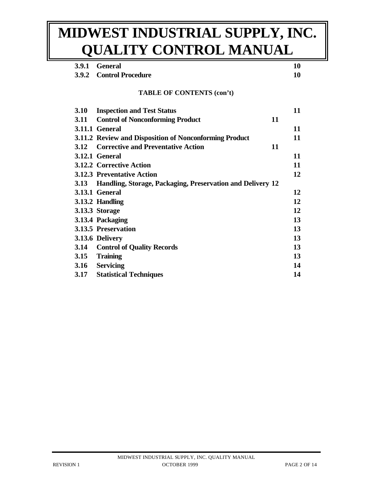| 3.9.1       | <b>General</b>                                             |    | 10 |
|-------------|------------------------------------------------------------|----|----|
|             | 3.9.2 Control Procedure                                    |    | 10 |
|             | <b>TABLE OF CONTENTS (con't)</b>                           |    |    |
| <b>3.10</b> | <b>Inspection and Test Status</b>                          |    | 11 |
| 3.11        | <b>Control of Nonconforming Product</b>                    | 11 |    |
|             | 3.11.1 General                                             |    | 11 |
|             | 3.11.2 Review and Disposition of Nonconforming Product     |    | 11 |
| 3.12        | <b>Corrective and Preventative Action</b>                  | 11 |    |
|             | <b>3.12.1 General</b>                                      |    | 11 |
|             | <b>3.12.2 Corrective Action</b>                            |    | 11 |
|             | <b>3.12.3 Preventative Action</b>                          |    | 12 |
| 3.13        | Handling, Storage, Packaging, Preservation and Delivery 12 |    |    |
|             | <b>3.13.1 General</b>                                      |    | 12 |
|             | 3.13.2 Handling                                            |    | 12 |
|             | <b>3.13.3 Storage</b>                                      |    | 12 |
|             | 3.13.4 Packaging                                           |    | 13 |
|             | 3.13.5 Preservation                                        |    | 13 |
|             | 3.13.6 Delivery                                            |    | 13 |
| 3.14        | <b>Control of Quality Records</b>                          |    | 13 |
| 3.15        | <b>Training</b>                                            |    | 13 |
| 3.16        | <b>Servicing</b>                                           |    | 14 |
| 3.17        | <b>Statistical Techniques</b>                              |    | 14 |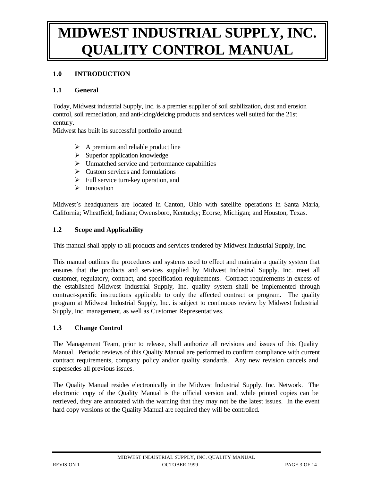## **1.0 INTRODUCTION**

#### **1.1 General**

Today, Midwest industrial Supply, Inc. is a premier supplier of soil stabilization, dust and erosion control, soil remediation, and anti-icing/deicing products and services well suited for the 21st century.

Midwest has built its successful portfolio around:

- $\triangleright$  A premium and reliable product line
- $\triangleright$  Superior application knowledge
- $\triangleright$  Unmatched service and performance capabilities
- $\triangleright$  Custom services and formulations
- $\triangleright$  Full service turn-key operation, and
- $\triangleright$  Innovation

Midwest's headquarters are located in Canton, Ohio with satellite operations in Santa Maria, California; Wheatfield, Indiana; Owensboro, Kentucky; Ecorse, Michigan; and Houston, Texas.

#### **1.2 Scope and Applicability**

This manual shall apply to all products and services tendered by Midwest Industrial Supply, Inc.

This manual outlines the procedures and systems used to effect and maintain a quality system that ensures that the products and services supplied by Midwest Industrial Supply. Inc. meet all customer, regulatory, contract, and specification requirements. Contract requirements in excess of the established Midwest Industrial Supply, Inc. quality system shall be implemented through contract-specific instructions applicable to only the affected contract or program. The quality program at Midwest Industrial Supply, Inc. is subject to continuous review by Midwest Industrial Supply, Inc. management, as well as Customer Representatives.

#### **1.3 Change Control**

The Management Team, prior to release, shall authorize all revisions and issues of this Quality Manual. Periodic reviews of this Quality Manual are performed to confirm compliance with current contract requirements, company policy and/or quality standards. Any new revision cancels and supersedes all previous issues.

The Quality Manual resides electronically in the Midwest Industrial Supply, Inc. Network. The electronic copy of the Quality Manual is the official version and, while printed copies can be retrieved, they are annotated with the warning that they may not be the latest issues. In the event hard copy versions of the Quality Manual are required they will be controlled.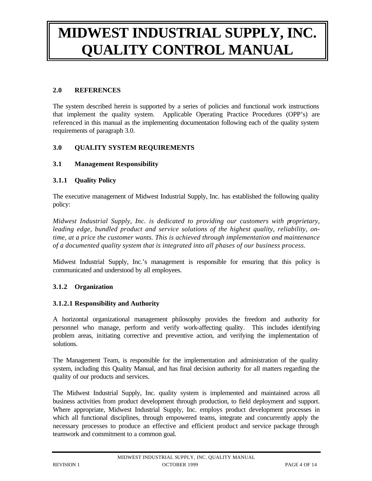## **2.0 REFERENCES**

The system described herein is supported by a series of policies and functional work instructions that implement the quality system. Applicable Operating Practice Procedures (OPP's) are referenced in this manual as the implementing documentation following each of the quality system requirements of paragraph 3.0.

## **3.0 QUALITY SYSTEM REQUIREMENTS**

## **3.1 Management Responsibility**

## **3.1.1 Quality Policy**

The executive management of Midwest Industrial Supply, Inc. has established the following quality policy:

*Midwest Industrial Supply, Inc. is dedicated to providing our customers with proprietary, leading edge, bundled product and service solutions of the highest quality, reliability, ontime, at a price the customer wants. This is achieved through implementation and maintenance of a documented quality system that is integrated into all phases of our business process.* 

Midwest Industrial Supply, Inc.'s management is responsible for ensuring that this policy is communicated and understood by all employees.

## **3.1.2 Organization**

## **3.1.2.1 Responsibility and Authority**

A horizontal organizational management philosophy provides the freedom and authority for personnel who manage, perform and verify work-affecting quality. This includes identifying problem areas, initiating corrective and preventive action, and verifying the implementation of solutions.

The Management Team, is responsible for the implementation and administration of the quality system, including this Quality Manual, and has final decision authority for all matters regarding the quality of our products and services.

The Midwest Industrial Supply, Inc. quality system is implemented and maintained across all business activities from product development through production, to field deployment and support. Where appropriate, Midwest Industrial Supply, Inc. employs product development processes in which all functional disciplines, through empowered teams, integrate and concurrently apply the necessary processes to produce an effective and efficient product and service package through teamwork and commitment to a common goal.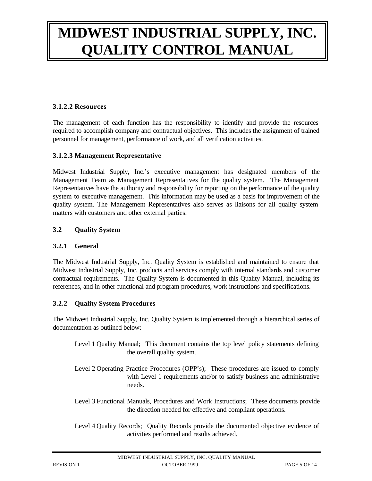#### **3.1.2.2 Resources**

The management of each function has the responsibility to identify and provide the resources required to accomplish company and contractual objectives. This includes the assignment of trained personnel for management, performance of work, and all verification activities.

#### **3.1.2.3 Management Representative**

Midwest Industrial Supply, Inc.'s executive management has designated members of the Management Team as Management Representatives for the quality system. The Management Representatives have the authority and responsibility for reporting on the performance of the quality system to executive management. This information may be used as a basis for improvement of the quality system. The Management Representatives also serves as liaisons for all quality system matters with customers and other external parties.

#### **3.2 Quality System**

#### **3.2.1 General**

The Midwest Industrial Supply, Inc. Quality System is established and maintained to ensure that Midwest Industrial Supply, Inc. products and services comply with internal standards and customer contractual requirements. The Quality System is documented in this Quality Manual, including its references, and in other functional and program procedures, work instructions and specifications.

#### **3.2.2 Quality System Procedures**

The Midwest Industrial Supply, Inc. Quality System is implemented through a hierarchical series of documentation as outlined below:

- Level 1 Quality Manual; This document contains the top level policy statements defining the overall quality system.
- Level 2 Operating Practice Procedures (OPP's); These procedures are issued to comply with Level 1 requirements and/or to satisfy business and administrative needs.
- Level 3 Functional Manuals, Procedures and Work Instructions; These documents provide the direction needed for effective and compliant operations.
- Level 4 Quality Records; Quality Records provide the documented objective evidence of activities performed and results achieved.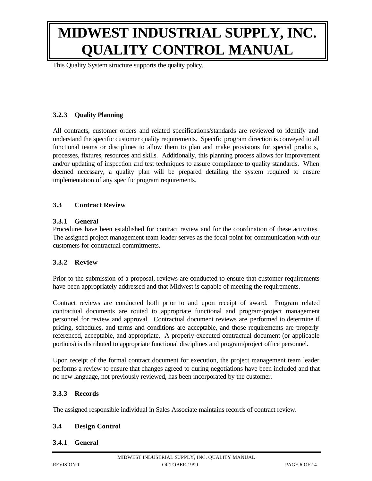This Quality System structure supports the quality policy.

## **3.2.3 Quality Planning**

All contracts, customer orders and related specifications/standards are reviewed to identify and understand the specific customer quality requirements. Specific program direction is conveyed to all functional teams or disciplines to allow them to plan and make provisions for special products, processes, fixtures, resources and skills. Additionally, this planning process allows for improvement and/or updating of inspection and test techniques to assure compliance to quality standards. When deemed necessary, a quality plan will be prepared detailing the system required to ensure implementation of any specific program requirements.

#### **3.3 Contract Review**

#### **3.3.1 General**

Procedures have been established for contract review and for the coordination of these activities. The assigned project management team leader serves as the focal point for communication with our customers for contractual commitments.

## **3.3.2 Review**

Prior to the submission of a proposal, reviews are conducted to ensure that customer requirements have been appropriately addressed and that Midwest is capable of meeting the requirements.

Contract reviews are conducted both prior to and upon receipt of award. Program related contractual documents are routed to appropriate functional and program/project management personnel for review and approval. Contractual document reviews are performed to determine if pricing, schedules, and terms and conditions are acceptable, and those requirements are properly referenced, acceptable, and appropriate. A properly executed contractual document (or applicable portions) is distributed to appropriate functional disciplines and program/project office personnel.

Upon receipt of the formal contract document for execution, the project management team leader performs a review to ensure that changes agreed to during negotiations have been included and that no new language, not previously reviewed, has been incorporated by the customer.

#### **3.3.3 Records**

The assigned responsible individual in Sales Associate maintains records of contract review.

#### **3.4 Design Control**

#### **3.4.1 General**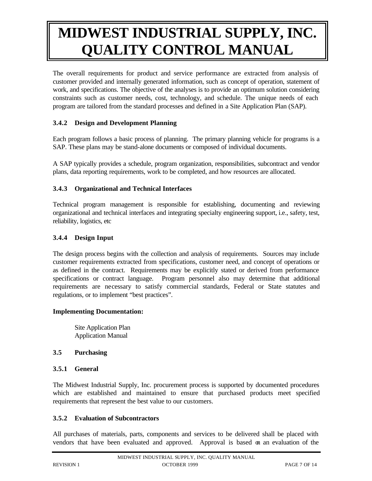The overall requirements for product and service performance are extracted from analysis of customer provided and internally generated information, such as concept of operation, statement of work, and specifications. The objective of the analyses is to provide an optimum solution considering constraints such as customer needs, cost, technology, and schedule. The unique needs of each program are tailored from the standard processes and defined in a Site Application Plan (SAP).

## **3.4.2 Design and Development Planning**

Each program follows a basic process of planning. The primary planning vehicle for programs is a SAP. These plans may be stand-alone documents or composed of individual documents.

A SAP typically provides a schedule, program organization, responsibilities, subcontract and vendor plans, data reporting requirements, work to be completed, and how resources are allocated.

## **3.4.3 Organizational and Technical Interfaces**

Technical program management is responsible for establishing, documenting and reviewing organizational and technical interfaces and integrating specialty engineering support, i.e., safety, test, reliability, logistics, etc

## **3.4.4 Design Input**

The design process begins with the collection and analysis of requirements. Sources may include customer requirements extracted from specifications, customer need, and concept of operations or as defined in the contract. Requirements may be explicitly stated or derived from performance specifications or contract language. Program personnel also may determine that additional requirements are necessary to satisfy commercial standards, Federal or State statutes and regulations, or to implement "best practices".

## **Implementing Documentation:**

Site Application Plan Application Manual

## **3.5 Purchasing**

## **3.5.1 General**

The Midwest Industrial Supply, Inc. procurement process is supported by documented procedures which are established and maintained to ensure that purchased products meet specified requirements that represent the best value to our customers.

## **3.5.2 Evaluation of Subcontractors**

All purchases of materials, parts, components and services to be delivered shall be placed with vendors that have been evaluated and approved. Approval is based on an evaluation of the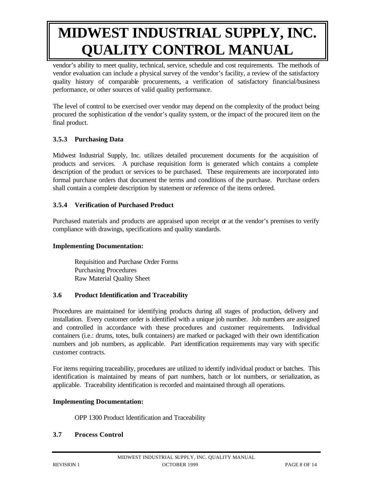vendor's ability to meet quality, technical, service, schedule and cost requirements. The methods of vendor evaluation can include a physical survey of the vendor's facility, a review of the satisfactory quality history of comparable procurements, a verification of satisfactory financial/business performance, or other sources of valid quality performance.

The level of control to be exercised over vendor may depend on the complexity of the product being procured the sophistication of the vendor's quality system, or the impact of the procured item on the final product.

## **3.5.3 Purchasing Data**

Midwest Industrial Supply, Inc. utilizes detailed procurement documents for the acquisition of products and services. A purchase requisition form is generated which contains a complete description of the product or services to be purchased. These requirements are incorporated into formal purchase orders that document the terms and conditions of the purchase. Purchase orders shall contain a complete description by statement or reference of the items ordered.

## **3.5.4 Verification of Purchased Product**

Purchased materials and products are appraised upon receipt or at the vendor's premises to verify compliance with drawings, specifications and quality standards.

## **Implementing Documentation:**

Requisition and Purchase Order Forms Purchasing Procedures Raw Material Quality Sheet

## **3.6 Product Identification and Traceability**

Procedures are maintained for identifying products during all stages of production, delivery and installation. Every customer order is identified with a unique job number. Job numbers are assigned and controlled in accordance with these procedures and customer requirements. Individual containers (i.e.: drums, totes, bulk containers) are marked or packaged with their own identification numbers and job numbers, as applicable. Part identification requirements may vary with specific customer contracts.

For items requiring traceability, procedures are utilized to identify individual product or batches. This identification is maintained by means of part numbers, batch or lot numbers, or serialization, as applicable. Traceability identification is recorded and maintained through all operations.

## **Implementing Documentation:**

OPP 1300 Product Identification and Traceability

## **3.7 Process Control**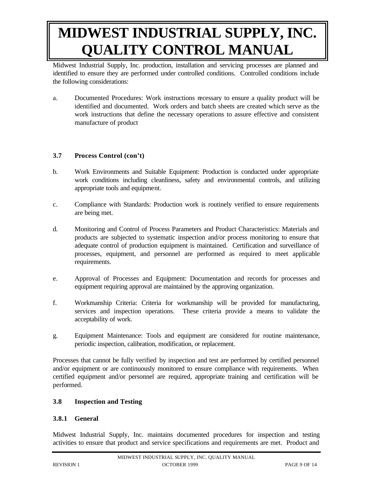Midwest Industrial Supply, Inc. production, installation and servicing processes are planned and identified to ensure they are performed under controlled conditions. Controlled conditions include the following considerations:

a. Documented Procedures: Work instructions necessary to ensure a quality product will be identified and documented. Work orders and batch sheets are created which serve as the work instructions that define the necessary operations to assure effective and consistent manufacture of product

## **3.7 Process Control (con't)**

- b. Work Environments and Suitable Equipment: Production is conducted under appropriate work conditions including cleanliness, safety and environmental controls, and utilizing appropriate tools and equipment.
- c. Compliance with Standards: Production work is routinely verified to ensure requirements are being met.
- d. Monitoring and Control of Process Parameters and Product Characteristics: Materials and products are subjected to systematic inspection and/or process monitoring to ensure that adequate control of production equipment is maintained. Certification and surveillance of processes, equipment, and personnel are performed as required to meet applicable requirements.
- e. Approval of Processes and Equipment: Documentation and records for processes and equipment requiring approval are maintained by the approving organization.
- f. Workmanship Criteria: Criteria for workmanship will be provided for manufacturing, services and inspection operations. These criteria provide a means to validate the acceptability of work.
- g. Equipment Maintenance: Tools and equipment are considered for routine maintenance, periodic inspection, calibration, modification, or replacement.

Processes that cannot be fully verified by inspection and test are performed by certified personnel and/or equipment or are continuously monitored to ensure compliance with requirements. When certified equipment and/or personnel are required, appropriate training and certification will be performed.

## **3.8 Inspection and Testing**

## **3.8.1 General**

Midwest Industrial Supply, Inc. maintains documented procedures for inspection and testing activities to ensure that product and service specifications and requirements are met. Product and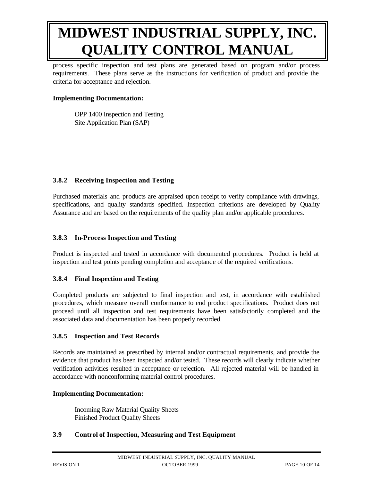process specific inspection and test plans are generated based on program and/or process requirements. These plans serve as the instructions for verification of product and provide the criteria for acceptance and rejection.

#### **Implementing Documentation:**

OPP 1400 Inspection and Testing Site Application Plan (SAP)

## **3.8.2 Receiving Inspection and Testing**

Purchased materials and products are appraised upon receipt to verify compliance with drawings, specifications, and quality standards specified. Inspection criterions are developed by Quality Assurance and are based on the requirements of the quality plan and/or applicable procedures.

#### **3.8.3 In-Process Inspection and Testing**

Product is inspected and tested in accordance with documented procedures. Product is held at inspection and test points pending completion and acceptance of the required verifications.

## **3.8.4 Final Inspection and Testing**

Completed products are subjected to final inspection and test, in accordance with established procedures, which measure overall conformance to end product specifications. Product does not proceed until all inspection and test requirements have been satisfactorily completed and the associated data and documentation has been properly recorded.

#### **3.8.5 Inspection and Test Records**

Records are maintained as prescribed by internal and/or contractual requirements, and provide the evidence that product has been inspected and/or tested. These records will clearly indicate whether verification activities resulted in acceptance or rejection. All rejected material will be handled in accordance with nonconforming material control procedures.

#### **Implementing Documentation:**

Incoming Raw Material Quality Sheets Finished Product Quality Sheets

## **3.9 Control of Inspection, Measuring and Test Equipment**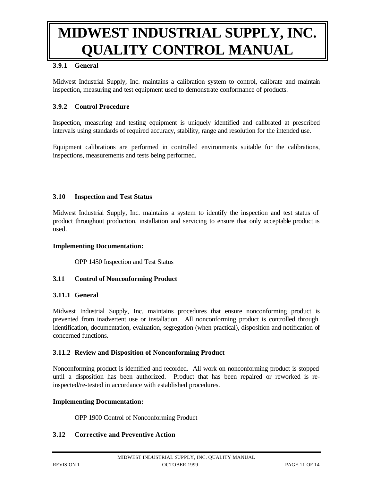#### **3.9.1 General**

Midwest Industrial Supply, Inc. maintains a calibration system to control, calibrate and maintain inspection, measuring and test equipment used to demonstrate conformance of products.

#### **3.9.2 Control Procedure**

Inspection, measuring and testing equipment is uniquely identified and calibrated at prescribed intervals using standards of required accuracy, stability, range and resolution for the intended use.

Equipment calibrations are performed in controlled environments suitable for the calibrations, inspections, measurements and tests being performed.

#### **3.10 Inspection and Test Status**

Midwest Industrial Supply, Inc. maintains a system to identify the inspection and test status of product throughout production, installation and servicing to ensure that only acceptable product is used.

#### **Implementing Documentation:**

OPP 1450 Inspection and Test Status

#### **3.11 Control of Nonconforming Product**

#### **3.11.1 General**

Midwest Industrial Supply, Inc. maintains procedures that ensure nonconforming product is prevented from inadvertent use or installation. All nonconforming product is controlled through identification, documentation, evaluation, segregation (when practical), disposition and notification of concerned functions.

#### **3.11.2 Review and Disposition of Nonconforming Product**

Nonconforming product is identified and recorded. All work on nonconforming product is stopped until a disposition has been authorized. Product that has been repaired or reworked is reinspected/re-tested in accordance with established procedures.

#### **Implementing Documentation:**

OPP 1900 Control of Nonconforming Product

#### **3.12 Corrective and Preventive Action**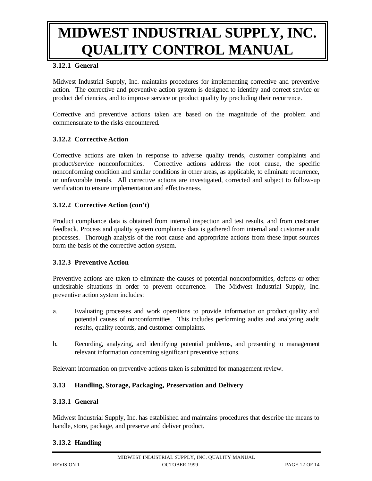#### **3.12.1 General**

Midwest Industrial Supply, Inc. maintains procedures for implementing corrective and preventive action. The corrective and preventive action system is designed to identify and correct service or product deficiencies, and to improve service or product quality by precluding their recurrence.

Corrective and preventive actions taken are based on the magnitude of the problem and commensurate to the risks encountered.

#### **3.12.2 Corrective Action**

Corrective actions are taken in response to adverse quality trends, customer complaints and product/service nonconformities. Corrective actions address the root cause, the specific nonconforming condition and similar conditions in other areas, as applicable, to eliminate recurrence, or unfavorable trends. All corrective actions are investigated, corrected and subject to follow-up verification to ensure implementation and effectiveness.

#### **3.12.2 Corrective Action (con't)**

Product compliance data is obtained from internal inspection and test results, and from customer feedback. Process and quality system compliance data is gathered from internal and customer audit processes. Thorough analysis of the root cause and appropriate actions from these input sources form the basis of the corrective action system.

#### **3.12.3 Preventive Action**

Preventive actions are taken to eliminate the causes of potential nonconformities, defects or other undesirable situations in order to prevent occurrence. The Midwest Industrial Supply, Inc. preventive action system includes:

- a. Evaluating processes and work operations to provide information on product quality and potential causes of nonconformities. This includes performing audits and analyzing audit results, quality records, and customer complaints.
- b. Recording, analyzing, and identifying potential problems, and presenting to management relevant information concerning significant preventive actions.

Relevant information on preventive actions taken is submitted for management review.

#### **3.13 Handling, Storage, Packaging, Preservation and Delivery**

#### **3.13.1 General**

Midwest Industrial Supply, Inc. has established and maintains procedures that describe the means to handle, store, package, and preserve and deliver product.

#### **3.13.2 Handling**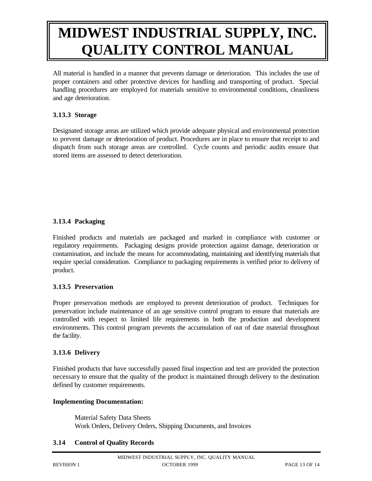All material is handled in a manner that prevents damage or deterioration. This includes the use of proper containers and other protective devices for handling and transporting of product. Special handling procedures are employed for materials sensitive to environmental conditions, cleanliness and age deterioration.

#### **3.13.3 Storage**

Designated storage areas are utilized which provide adequate physical and environmental protection to prevent damage or deterioration of product. Procedures are in place to ensure that receipt to and dispatch from such storage areas are controlled. Cycle counts and periodic audits ensure that stored items are assessed to detect deterioration.

## **3.13.4 Packaging**

Finished products and materials are packaged and marked in compliance with customer or regulatory requirements. Packaging designs provide protection against damage, deterioration or contamination, and include the means for accommodating, maintaining and identifying materials that require special consideration. Compliance to packaging requirements is verified prior to delivery of product.

## **3.13.5 Preservation**

Proper preservation methods are employed to prevent deterioration of product. Techniques for preservation include maintenance of an age sensitive control program to ensure that materials are controlled with respect to limited life requirements in both the production and development environments. This control program prevents the accumulation of out of date material throughout the facility.

#### **3.13.6 Delivery**

Finished products that have successfully passed final inspection and test are provided the protection necessary to ensure that the quality of the product is maintained through delivery to the destination defined by customer requirements.

#### **Implementing Documentation:**

Material Safety Data Sheets Work Orders, Delivery Orders, Shipping Documents, and Invoices

#### **3.14 Control of Quality Records**